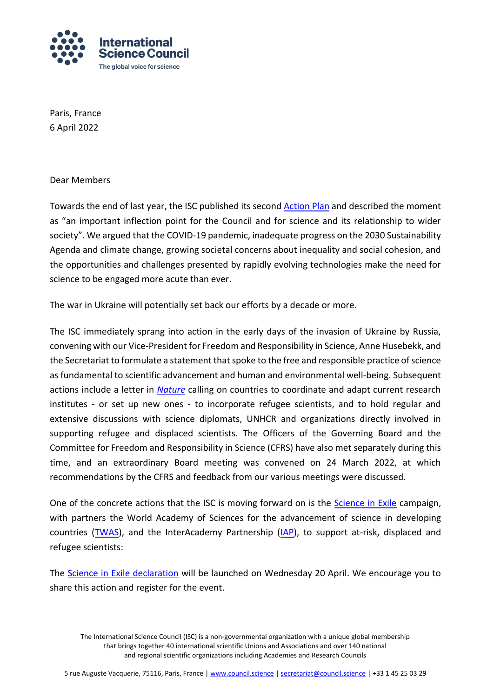

Paris, France 6 April 2022

Dear Members

Towards the end of last year, the ISC published its second [Action Plan](https://council.science/actionplan/) and described the moment as "an important inflection point for the Council and for science and its relationship to wider society". We argued that the COVID-19 pandemic, inadequate progress on the 2030 Sustainability Agenda and climate change, growing societal concerns about inequality and social cohesion, and the opportunities and challenges presented by rapidly evolving technologies make the need for science to be engaged more acute than ever.

The war in Ukraine will potentially set back our efforts by a decade or more.

The ISC immediately sprang into action in the early days of the invasion of Ukraine by Russia, convening with our Vice-President for Freedom and Responsibility in Science, Anne Husebekk, and the Secretariat to formulate a statement that spoke to the free and responsible practice of science as fundamental to scientific advancement and human and environmental well-being. Subsequent actions include a letter in *[Nature](https://council.science/wp-content/uploads/2020/06/d41586-022-00863-4.pdf)* calling on countries to coordinate and adapt current research institutes - or set up new ones - to incorporate refugee scientists, and to hold regular and extensive discussions with science diplomats, UNHCR and organizations directly involved in supporting refugee and displaced scientists. The Officers of the Governing Board and the Committee for Freedom and Responsibility in Science (CFRS) have also met separately during this time, and an extraordinary Board meeting was convened on 24 March 2022, at which recommendations by the CFRS and feedback from our various meetings were discussed.

One of the concrete actions that the ISC is moving forward on is the [Science in Exile](https://council.science/actionplan/science-in-exile/) campaign, with partners the World Academy of Sciences for the advancement of science in developing countries [\(TWAS\)](https://twas.org/), and the InterAcademy Partnership [\(IAP\)](https://www.interacademies.org/), to support at-risk, displaced and refugee scientists:

The [Science in Exile declaration](https://council.science/events/science-in-exile-declaration-launch/) will be launched on Wednesday 20 April. We encourage you to share this action and register for the event.

The International Science Council (ISC) is a non-governmental organization with a unique global membership that brings together 40 international scientific Unions and Associations and over 140 national and regional scientific organizations including Academies and Research Councils